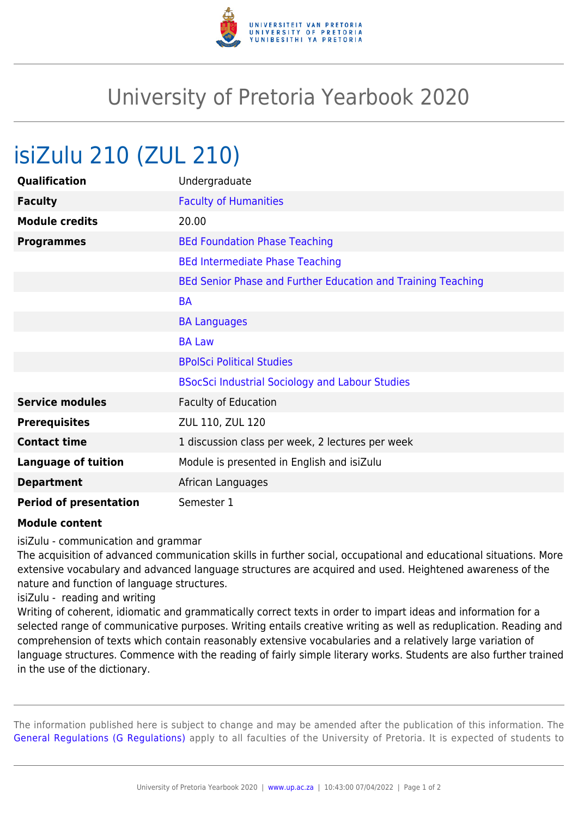

## University of Pretoria Yearbook 2020

## isiZulu 210 (ZUL 210)

| Qualification                 | Undergraduate                                                |
|-------------------------------|--------------------------------------------------------------|
| <b>Faculty</b>                | <b>Faculty of Humanities</b>                                 |
| <b>Module credits</b>         | 20.00                                                        |
| <b>Programmes</b>             | <b>BEd Foundation Phase Teaching</b>                         |
|                               | <b>BEd Intermediate Phase Teaching</b>                       |
|                               | BEd Senior Phase and Further Education and Training Teaching |
|                               | <b>BA</b>                                                    |
|                               | <b>BA Languages</b>                                          |
|                               | <b>BA Law</b>                                                |
|                               | <b>BPolSci Political Studies</b>                             |
|                               | <b>BSocSci Industrial Sociology and Labour Studies</b>       |
| <b>Service modules</b>        | <b>Faculty of Education</b>                                  |
| <b>Prerequisites</b>          | ZUL 110, ZUL 120                                             |
| <b>Contact time</b>           | 1 discussion class per week, 2 lectures per week             |
| <b>Language of tuition</b>    | Module is presented in English and isiZulu                   |
| <b>Department</b>             | African Languages                                            |
| <b>Period of presentation</b> | Semester 1                                                   |

## **Module content**

isiZulu - communication and grammar

The acquisition of advanced communication skills in further social, occupational and educational situations. More extensive vocabulary and advanced language structures are acquired and used. Heightened awareness of the nature and function of language structures.

isiZulu - reading and writing

Writing of coherent, idiomatic and grammatically correct texts in order to impart ideas and information for a selected range of communicative purposes. Writing entails creative writing as well as reduplication. Reading and comprehension of texts which contain reasonably extensive vocabularies and a relatively large variation of language structures. Commence with the reading of fairly simple literary works. Students are also further trained in the use of the dictionary.

The information published here is subject to change and may be amended after the publication of this information. The [General Regulations \(G Regulations\)](https://www.up.ac.za/faculty-of-education/yearbooks/2020/rules/view/REG) apply to all faculties of the University of Pretoria. It is expected of students to